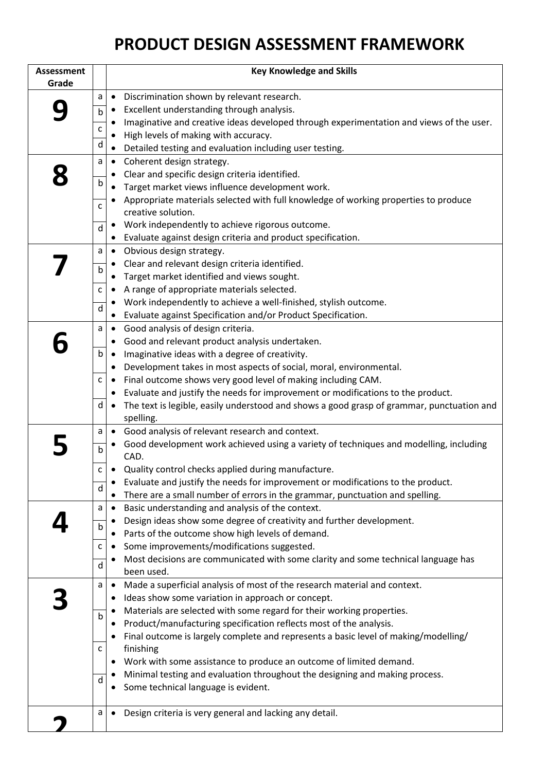## **PRODUCT DESIGN ASSESSMENT FRAMEWORK**

| <b>Assessment</b> |              | <b>Key Knowledge and Skills</b>                                                                        |
|-------------------|--------------|--------------------------------------------------------------------------------------------------------|
| Grade             |              |                                                                                                        |
|                   | a            | Discrimination shown by relevant research.<br>$\bullet$                                                |
|                   | b            | Excellent understanding through analysis.<br>$\bullet$                                                 |
|                   | $\mathsf{C}$ | Imaginative and creative ideas developed through experimentation and views of the user.<br>$\bullet$   |
|                   |              | High levels of making with accuracy.<br>$\bullet$                                                      |
|                   | d            | Detailed testing and evaluation including user testing.<br>$\bullet$                                   |
|                   | a            | Coherent design strategy.<br>$\bullet$                                                                 |
|                   |              | Clear and specific design criteria identified.<br>٠                                                    |
|                   | b            | Target market views influence development work.<br>$\bullet$                                           |
|                   | C            | Appropriate materials selected with full knowledge of working properties to produce                    |
|                   |              | creative solution.                                                                                     |
|                   | d            | Work independently to achieve rigorous outcome.<br>$\bullet$                                           |
|                   |              | Evaluate against design criteria and product specification.<br>$\bullet$                               |
|                   | a            | Obvious design strategy.<br>$\bullet$                                                                  |
|                   | $\mathsf b$  | Clear and relevant design criteria identified.<br>$\bullet$                                            |
|                   |              | Target market identified and views sought.                                                             |
|                   | С            | A range of appropriate materials selected.                                                             |
|                   | d            | Work independently to achieve a well-finished, stylish outcome.<br>$\bullet$                           |
|                   |              | Evaluate against Specification and/or Product Specification.                                           |
|                   | a            | Good analysis of design criteria.<br>$\bullet$                                                         |
|                   |              | Good and relevant product analysis undertaken.<br>$\bullet$                                            |
|                   | b            | Imaginative ideas with a degree of creativity.<br>$\bullet$                                            |
|                   |              | Development takes in most aspects of social, moral, environmental.<br>$\bullet$                        |
|                   | C            | Final outcome shows very good level of making including CAM.<br>$\bullet$                              |
|                   | d            | Evaluate and justify the needs for improvement or modifications to the product.<br>٠<br>$\bullet$      |
|                   |              | The text is legible, easily understood and shows a good grasp of grammar, punctuation and<br>spelling. |
|                   | a            | Good analysis of relevant research and context.<br>$\bullet$                                           |
|                   |              | Good development work achieved using a variety of techniques and modelling, including<br>٠             |
|                   | $\mathsf b$  | CAD.                                                                                                   |
|                   | C            | Quality control checks applied during manufacture.                                                     |
|                   |              | Evaluate and justify the needs for improvement or modifications to the product.<br>$\bullet$           |
|                   | d            | There are a small number of errors in the grammar, punctuation and spelling.<br>$\bullet$              |
|                   | a            | Basic understanding and analysis of the context.<br>$\bullet$                                          |
|                   |              | Design ideas show some degree of creativity and further development.<br>$\bullet$                      |
|                   | $\mathsf b$  | Parts of the outcome show high levels of demand.<br>$\bullet$                                          |
|                   | C            | Some improvements/modifications suggested.<br>$\bullet$                                                |
|                   | d            | Most decisions are communicated with some clarity and some technical language has<br>$\bullet$         |
|                   |              | been used.                                                                                             |
|                   | a            | Made a superficial analysis of most of the research material and context.<br>$\bullet$                 |
|                   |              | Ideas show some variation in approach or concept.<br>٠                                                 |
|                   | b            | Materials are selected with some regard for their working properties.<br>$\bullet$                     |
|                   |              | Product/manufacturing specification reflects most of the analysis.<br>٠                                |
|                   |              | Final outcome is largely complete and represents a basic level of making/modelling/                    |
|                   | $\mathsf C$  | finishing                                                                                              |
|                   |              | Work with some assistance to produce an outcome of limited demand.<br>$\bullet$                        |
|                   | d            | Minimal testing and evaluation throughout the designing and making process.<br>$\bullet$               |
|                   |              | Some technical language is evident.<br>$\bullet$                                                       |
|                   | a            | Design criteria is very general and lacking any detail.<br>$\bullet$                                   |
|                   |              |                                                                                                        |
|                   |              |                                                                                                        |